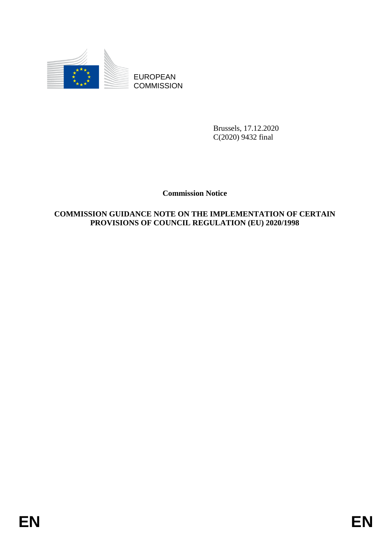

**COMMISSION** 

Brussels, 17.12.2020 C(2020) 9432 final

**Commission Notice**

# EUROPEAN<br>
EUROPEAN<br>
ENGINESION<br>
ENGINESION<br>
Commission Notice<br>
COMMISSION GITD AKE NOT FOR THE IMPLEMENTATION OF CERTAIN<br>
PROVISIONS OF COUNCIL REGULATION (EU) 2020/1998<br>
EN **COMMISSION GUIDANCE NOTE ON THE IMPLEMENTATION OF CERTAIN PROVISIONS OF COUNCIL REGULATION (EU) 2020/1998**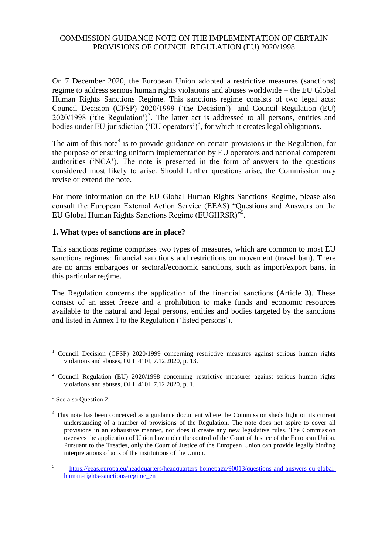# COMMISSION GUIDANCE NOTE ON THE IMPLEMENTATION OF CERTAIN PROVISIONS OF COUNCIL REGULATION (EU) 2020/1998

On 7 December 2020, the European Union adopted a restrictive measures (sanctions) regime to address serious human rights violations and abuses worldwide – the EU Global Human Rights Sanctions Regime. This sanctions regime consists of two legal acts: Council Decision (CFSP)  $2020/1999$  ('the Decision')<sup>1</sup> and Council Regulation (EU)  $2020/1998$  ('the Regulation')<sup>2</sup>. The latter act is addressed to all persons, entities and bodies under EU jurisdiction ('EU operators')<sup>3</sup>, for which it creates legal obligations.

The aim of this note<sup>4</sup> is to provide guidance on certain provisions in the Regulation, for the purpose of ensuring uniform implementation by EU operators and national competent authorities ('NCA'). The note is presented in the form of answers to the questions considered most likely to arise. Should further questions arise, the Commission may revise or extend the note.

For more information on the EU Global Human Rights Sanctions Regime, please also consult the European External Action Service (EEAS) "Questions and Answers on the EU Global Human Rights Sanctions Regime (EUGHRSR)"5.

### **1. What types of sanctions are in place?**

This sanctions regime comprises two types of measures, which are common to most EU sanctions regimes: financial sanctions and restrictions on movement (travel ban). There are no arms embargoes or sectoral/economic sanctions, such as import/export bans, in this particular regime.

The Regulation concerns the application of the financial sanctions (Article 3). These consist of an asset freeze and a prohibition to make funds and economic resources available to the natural and legal persons, entities and bodies targeted by the sanctions and listed in Annex I to the Regulation ('listed persons').

 $\overline{a}$ 

<sup>&</sup>lt;sup>1</sup> Council Decision (CFSP) 2020/1999 concerning restrictive measures against serious human rights violations and abuses, OJ L 410I, 7.12.2020, p. 13.

<sup>&</sup>lt;sup>2</sup> Council Regulation (EU) 2020/1998 concerning restrictive measures against serious human rights violations and abuses, OJ L 410I, 7.12.2020, p. 1.

<sup>&</sup>lt;sup>3</sup> See also Question 2.

<sup>&</sup>lt;sup>4</sup> This note has been conceived as a guidance document where the Commission sheds light on its current understanding of a number of provisions of the Regulation. The note does not aspire to cover all provisions in an exhaustive manner, nor does it create any new legislative rules. The Commission oversees the application of Union law under the control of the Court of Justice of the European Union. Pursuant to the Treaties, only the Court of Justice of the European Union can provide legally binding interpretations of acts of the institutions of the Union.

<sup>5</sup> [https://eeas.europa.eu/headquarters/headquarters-homepage/90013/questions-and-answers-eu-global](https://eeas.europa.eu/headquarters/headquarters-homepage/90013/questions-and-answers-eu-global-human-rights-sanctions-regime_en)[human-rights-sanctions-regime\\_en](https://eeas.europa.eu/headquarters/headquarters-homepage/90013/questions-and-answers-eu-global-human-rights-sanctions-regime_en)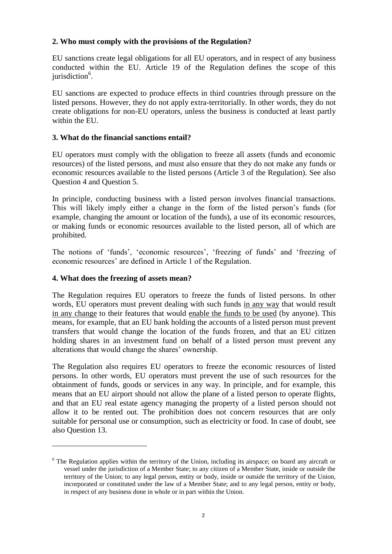# **2. Who must comply with the provisions of the Regulation?**

EU sanctions create legal obligations for all EU operators, and in respect of any business conducted within the EU. Article 19 of the Regulation defines the scope of this jurisdiction<sup>6</sup>.

EU sanctions are expected to produce effects in third countries through pressure on the listed persons. However, they do not apply extra-territorially. In other words, they do not create obligations for non-EU operators, unless the business is conducted at least partly within the EU.

### **3. What do the financial sanctions entail?**

EU operators must comply with the obligation to freeze all assets (funds and economic resources) of the listed persons, and must also ensure that they do not make any funds or economic resources available to the listed persons (Article 3 of the Regulation). See also Question 4 and Question 5.

In principle, conducting business with a listed person involves financial transactions. This will likely imply either a change in the form of the listed person's funds (for example, changing the amount or location of the funds), a use of its economic resources, or making funds or economic resources available to the listed person, all of which are prohibited.

The notions of 'funds', 'economic resources', 'freezing of funds' and 'freezing of economic resources' are defined in Article 1 of the Regulation.

### **4. What does the freezing of assets mean?**

 $\overline{a}$ 

The Regulation requires EU operators to freeze the funds of listed persons. In other words, EU operators must prevent dealing with such funds in any way that would result in any change to their features that would enable the funds to be used (by anyone). This means, for example, that an EU bank holding the accounts of a listed person must prevent transfers that would change the location of the funds frozen, and that an EU citizen holding shares in an investment fund on behalf of a listed person must prevent any alterations that would change the shares' ownership.

The Regulation also requires EU operators to freeze the economic resources of listed persons. In other words, EU operators must prevent the use of such resources for the obtainment of funds, goods or services in any way. In principle, and for example, this means that an EU airport should not allow the plane of a listed person to operate flights, and that an EU real estate agency managing the property of a listed person should not allow it to be rented out. The prohibition does not concern resources that are only suitable for personal use or consumption, such as electricity or food. In case of doubt, see also Question 13.

 $6$  The Regulation applies within the territory of the Union, including its airspace; on board any aircraft or vessel under the jurisdiction of a Member State; to any citizen of a Member State, inside or outside the territory of the Union; to any legal person, entity or body, inside or outside the territory of the Union, incorporated or constituted under the law of a Member State; and to any legal person, entity or body, in respect of any business done in whole or in part within the Union.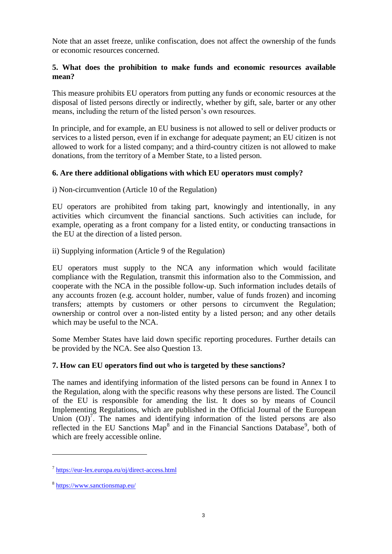Note that an asset freeze, unlike confiscation, does not affect the ownership of the funds or economic resources concerned.

### **5. What does the prohibition to make funds and economic resources available mean?**

This measure prohibits EU operators from putting any funds or economic resources at the disposal of listed persons directly or indirectly, whether by gift, sale, barter or any other means, including the return of the listed person's own resources.

In principle, and for example, an EU business is not allowed to sell or deliver products or services to a listed person, even if in exchange for adequate payment; an EU citizen is not allowed to work for a listed company; and a third-country citizen is not allowed to make donations, from the territory of a Member State, to a listed person.

# **6. Are there additional obligations with which EU operators must comply?**

i) Non-circumvention (Article 10 of the Regulation)

EU operators are prohibited from taking part, knowingly and intentionally, in any activities which circumvent the financial sanctions. Such activities can include, for example, operating as a front company for a listed entity, or conducting transactions in the EU at the direction of a listed person.

ii) Supplying information (Article 9 of the Regulation)

EU operators must supply to the NCA any information which would facilitate compliance with the Regulation, transmit this information also to the Commission, and cooperate with the NCA in the possible follow-up. Such information includes details of any accounts frozen (e.g. account holder, number, value of funds frozen) and incoming transfers; attempts by customers or other persons to circumvent the Regulation; ownership or control over a non-listed entity by a listed person; and any other details which may be useful to the NCA.

Some Member States have laid down specific reporting procedures. Further details can be provided by the NCA. See also Question 13.

# **7. How can EU operators find out who is targeted by these sanctions?**

The names and identifying information of the listed persons can be found in Annex I to the Regulation, along with the specific reasons why these persons are listed. The Council of the EU is responsible for amending the list. It does so by means of Council Implementing Regulations, which are published in the Official Journal of the European Union  $(OJ)^7$ . The names and identifying information of the listed persons are also reflected in the EU Sanctions Map<sup>8</sup> and in the Financial Sanctions Database<sup>9</sup>, both of which are freely accessible online.

 $\overline{a}$ 

<sup>&</sup>lt;sup>7</sup> <https://eur-lex.europa.eu/oj/direct-access.html>

<sup>&</sup>lt;sup>8</sup> <https://www.sanctionsmap.eu/>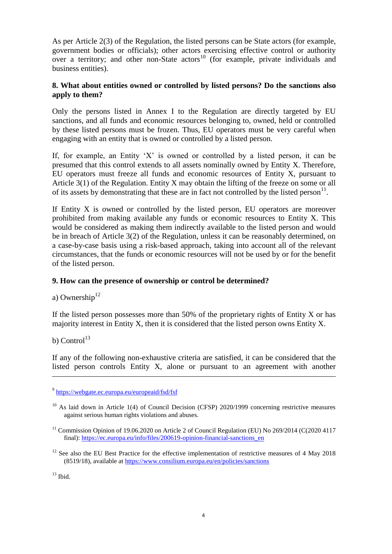As per Article 2(3) of the Regulation, the listed persons can be State actors (for example, government bodies or officials); other actors exercising effective control or authority over a territory; and other non-State actors<sup>10</sup> (for example, private individuals and business entities).

### **8. What about entities owned or controlled by listed persons? Do the sanctions also apply to them?**

Only the persons listed in Annex I to the Regulation are directly targeted by EU sanctions, and all funds and economic resources belonging to, owned, held or controlled by these listed persons must be frozen. Thus, EU operators must be very careful when engaging with an entity that is owned or controlled by a listed person.

If, for example, an Entity 'X' is owned or controlled by a listed person, it can be presumed that this control extends to all assets nominally owned by Entity X. Therefore, EU operators must freeze all funds and economic resources of Entity X, pursuant to Article 3(1) of the Regulation. Entity X may obtain the lifting of the freeze on some or all of its assets by demonstrating that these are in fact not controlled by the listed person $^{11}$ .

If Entity X is owned or controlled by the listed person, EU operators are moreover prohibited from making available any funds or economic resources to Entity X. This would be considered as making them indirectly available to the listed person and would be in breach of Article 3(2) of the Regulation, unless it can be reasonably determined, on a case-by-case basis using a risk-based approach, taking into account all of the relevant circumstances, that the funds or economic resources will not be used by or for the benefit of the listed person.

# **9. How can the presence of ownership or control be determined?**

a) Ownership<sup>12</sup>

If the listed person possesses more than  $50\%$  of the proprietary rights of Entity X or has majority interest in Entity X, then it is considered that the listed person owns Entity X.

b) Control<sup>13</sup>

 $\overline{a}$ 

If any of the following non-exhaustive criteria are satisfied, it can be considered that the listed person controls Entity X, alone or pursuant to an agreement with another

 $13$  Ibid.

<sup>&</sup>lt;sup>9</sup> <https://webgate.ec.europa.eu/europeaid/fsd/fsf>

 $10$  As laid down in Article 1(4) of Council Decision (CFSP) 2020/1999 concerning restrictive measures against serious human rights violations and abuses.

<sup>&</sup>lt;sup>11</sup> Commission Opinion of 19.06.2020 on Article 2 of Council Regulation (EU) No 269/2014 (C(2020 4117 final): [https://ec.europa.eu/info/files/200619-opinion-financial-sanctions\\_en](https://ec.europa.eu/info/files/200619-opinion-financial-sanctions_en)

<sup>&</sup>lt;sup>12</sup> See also the EU Best Practice for the effective implementation of restrictive measures of 4 May 2018 (8519/18), available at<https://www.consilium.europa.eu/en/policies/sanctions>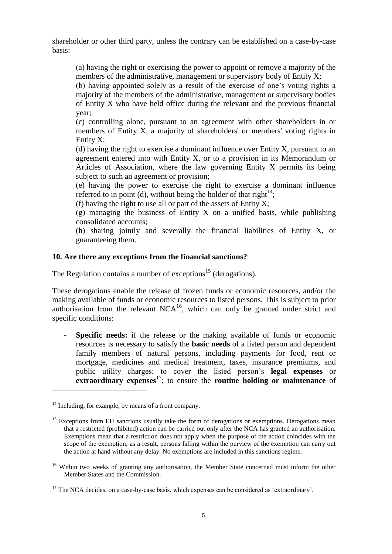shareholder or other third party, unless the contrary can be established on a case-by-case basis:

(a) having the right or exercising the power to appoint or remove a majority of the members of the administrative, management or supervisory body of Entity X;

(b) having appointed solely as a result of the exercise of one's voting rights a majority of the members of the administrative, management or supervisory bodies of Entity X who have held office during the relevant and the previous financial year;

(c) controlling alone, pursuant to an agreement with other shareholders in or members of Entity X, a majority of shareholders' or members' voting rights in Entity X;

(d) having the right to exercise a dominant influence over Entity X, pursuant to an agreement entered into with Entity X, or to a provision in its Memorandum or Articles of Association, where the law governing Entity X permits its being subject to such an agreement or provision;

(e) having the power to exercise the right to exercise a dominant influence referred to in point (d), without being the holder of that right $^{14}$ ;

(f) having the right to use all or part of the assets of Entity X;

(g) managing the business of Entity X on a unified basis, while publishing consolidated accounts;

(h) sharing jointly and severally the financial liabilities of Entity X, or guaranteeing them.

# **10. Are there any exceptions from the financial sanctions?**

The Regulation contains a number of exceptions<sup>15</sup> (derogations).

These derogations enable the release of frozen funds or economic resources, and/or the making available of funds or economic resources to listed persons. This is subject to prior authorisation from the relevant  $NCA^{16}$ , which can only be granted under strict and specific conditions:

- **Specific needs:** if the release or the making available of funds or economic resources is necessary to satisfy the **basic needs** of a listed person and dependent family members of natural persons, including payments for food, rent or mortgage, medicines and medical treatment, taxes, insurance premiums, and public utility charges; to cover the listed person's **legal expenses** or **extraordinary expenses**<sup>17</sup>; to ensure the **routine** holding or maintenance of

 $\overline{a}$ 

 $14$  Including, for example, by means of a front company.

<sup>&</sup>lt;sup>15</sup> Exceptions from EU sanctions usually take the form of derogations or exemptions. Derogations mean that a restricted (prohibited) action can be carried out only after the NCA has granted an authorisation. Exemptions mean that a restriction does not apply when the purpose of the action coincides with the scope of the exemption; as a result, persons falling within the purview of the exemption can carry out the action at hand without any delay. No exemptions are included in this sanctions regime.

<sup>&</sup>lt;sup>16</sup> Within two weeks of granting any authorisation, the Member State concerned must inform the other Member States and the Commission.

<sup>&</sup>lt;sup>17</sup> The NCA decides, on a case-by-case basis, which expenses can be considered as 'extraordinary'.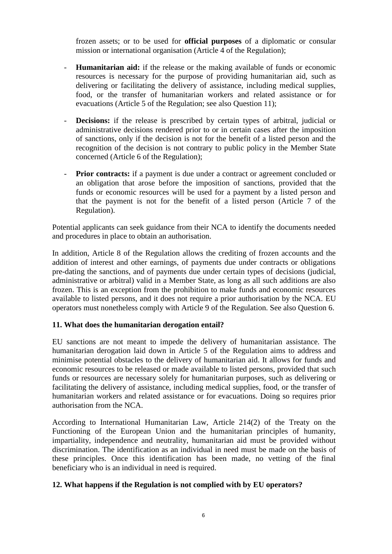frozen assets; or to be used for **official purposes** of a diplomatic or consular mission or international organisation (Article 4 of the Regulation);

- **Humanitarian aid:** if the release or the making available of funds or economic resources is necessary for the purpose of providing humanitarian aid, such as delivering or facilitating the delivery of assistance, including medical supplies, food, or the transfer of humanitarian workers and related assistance or for evacuations (Article 5 of the Regulation; see also Question 11);
- **Decisions:** if the release is prescribed by certain types of arbitral, judicial or administrative decisions rendered prior to or in certain cases after the imposition of sanctions, only if the decision is not for the benefit of a listed person and the recognition of the decision is not contrary to public policy in the Member State concerned (Article 6 of the Regulation);
- **Prior contracts:** if a payment is due under a contract or agreement concluded or an obligation that arose before the imposition of sanctions, provided that the funds or economic resources will be used for a payment by a listed person and that the payment is not for the benefit of a listed person (Article 7 of the Regulation).

Potential applicants can seek guidance from their NCA to identify the documents needed and procedures in place to obtain an authorisation.

In addition, Article 8 of the Regulation allows the crediting of frozen accounts and the addition of interest and other earnings, of payments due under contracts or obligations pre-dating the sanctions, and of payments due under certain types of decisions (judicial, administrative or arbitral) valid in a Member State, as long as all such additions are also frozen. This is an exception from the prohibition to make funds and economic resources available to listed persons, and it does not require a prior authorisation by the NCA. EU operators must nonetheless comply with Article 9 of the Regulation. See also Question 6.

# **11. What does the humanitarian derogation entail?**

EU sanctions are not meant to impede the delivery of humanitarian assistance. The humanitarian derogation laid down in Article 5 of the Regulation aims to address and minimise potential obstacles to the delivery of humanitarian aid. It allows for funds and economic resources to be released or made available to listed persons, provided that such funds or resources are necessary solely for humanitarian purposes, such as delivering or facilitating the delivery of assistance, including medical supplies, food, or the transfer of humanitarian workers and related assistance or for evacuations. Doing so requires prior authorisation from the NCA.

According to International Humanitarian Law, Article 214(2) of the Treaty on the Functioning of the European Union and the humanitarian principles of humanity, impartiality, independence and neutrality, humanitarian aid must be provided without discrimination. The identification as an individual in need must be made on the basis of these principles. Once this identification has been made, no vetting of the final beneficiary who is an individual in need is required.

# **12. What happens if the Regulation is not complied with by EU operators?**